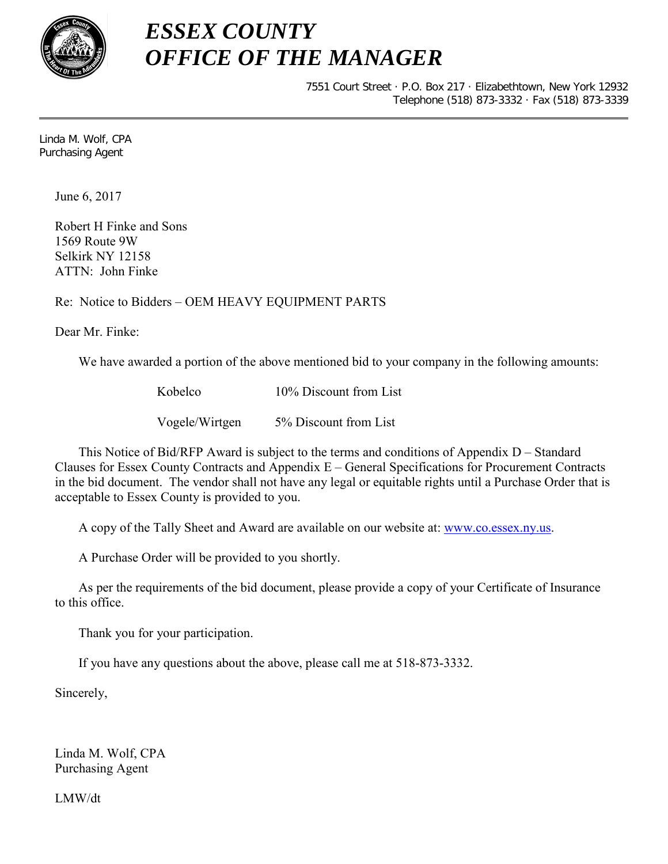

 $\overline{a}$ 

## *ESSEX COUNTY OFFICE OF THE MANAGER*

7551 Court Street · P.O. Box 217 · Elizabethtown, New York 12932 Telephone (518) 873-3332 · Fax (518) 873-3339

Linda M. Wolf, CPA Purchasing Agent

June 6, 2017

Robert H Finke and Sons 1569 Route 9W Selkirk NY 12158 ATTN: John Finke

## Re: Notice to Bidders – OEM HEAVY EQUIPMENT PARTS

Dear Mr. Finke:

We have awarded a portion of the above mentioned bid to your company in the following amounts:

Kobelco 10% Discount from List

Vogele/Wirtgen 5% Discount from List

This Notice of Bid/RFP Award is subject to the terms and conditions of Appendix D – Standard Clauses for Essex County Contracts and Appendix E – General Specifications for Procurement Contracts in the bid document. The vendor shall not have any legal or equitable rights until a Purchase Order that is acceptable to Essex County is provided to you.

A copy of the Tally Sheet and Award are available on our website at: [www.co.essex.ny.us.](http://www.co.essex.ny.us/)

A Purchase Order will be provided to you shortly.

 As per the requirements of the bid document, please provide a copy of your Certificate of Insurance to this office.

Thank you for your participation.

If you have any questions about the above, please call me at 518-873-3332.

Sincerely,

Linda M. Wolf, CPA Purchasing Agent

LMW/dt